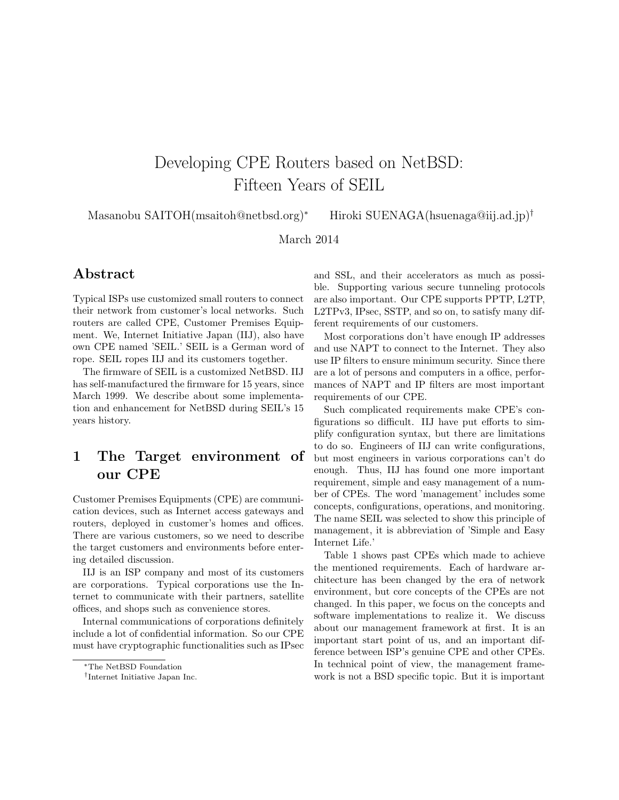# Developing CPE Routers based on NetBSD: Fifteen Years of SEIL

Masanobu SAITOH(msaitoh@netbsd.org)<sup>∗</sup> Hiroki SUENAGA(hsuenaga@iij.ad.jp)†

March 2014

## Abstract

Typical ISPs use customized small routers to connect their network from customer's local networks. Such routers are called CPE, Customer Premises Equipment. We, Internet Initiative Japan (IIJ), also have own CPE named 'SEIL.' SEIL is a German word of rope. SEIL ropes IIJ and its customers together.

The firmware of SEIL is a customized NetBSD. IIJ has self-manufactured the firmware for 15 years, since March 1999. We describe about some implementation and enhancement for NetBSD during SEIL's 15 years history.

# 1 The Target environment of our CPE

Customer Premises Equipments (CPE) are communication devices, such as Internet access gateways and routers, deployed in customer's homes and offices. There are various customers, so we need to describe the target customers and environments before entering detailed discussion.

IIJ is an ISP company and most of its customers are corporations. Typical corporations use the Internet to communicate with their partners, satellite offices, and shops such as convenience stores.

Internal communications of corporations definitely include a lot of confidential information. So our CPE must have cryptographic functionalities such as IPsec and SSL, and their accelerators as much as possible. Supporting various secure tunneling protocols are also important. Our CPE supports PPTP, L2TP, L2TPv3, IPsec, SSTP, and so on, to satisfy many different requirements of our customers.

Most corporations don't have enough IP addresses and use NAPT to connect to the Internet. They also use IP filters to ensure minimum security. Since there are a lot of persons and computers in a office, performances of NAPT and IP filters are most important requirements of our CPE.

Such complicated requirements make CPE's configurations so difficult. IIJ have put efforts to simplify configuration syntax, but there are limitations to do so. Engineers of IIJ can write configurations, but most engineers in various corporations can't do enough. Thus, IIJ has found one more important requirement, simple and easy management of a number of CPEs. The word 'management' includes some concepts, configurations, operations, and monitoring. The name SEIL was selected to show this principle of management, it is abbreviation of 'Simple and Easy Internet Life.'

Table 1 shows past CPEs which made to achieve the mentioned requirements. Each of hardware architecture has been changed by the era of network environment, but core concepts of the CPEs are not changed. In this paper, we focus on the concepts and software implementations to realize it. We discuss about our management framework at first. It is an important start point of us, and an important difference between ISP's genuine CPE and other CPEs. In technical point of view, the management framework is not a BSD specific topic. But it is important

<sup>∗</sup>The NetBSD Foundation

<sup>†</sup> Internet Initiative Japan Inc.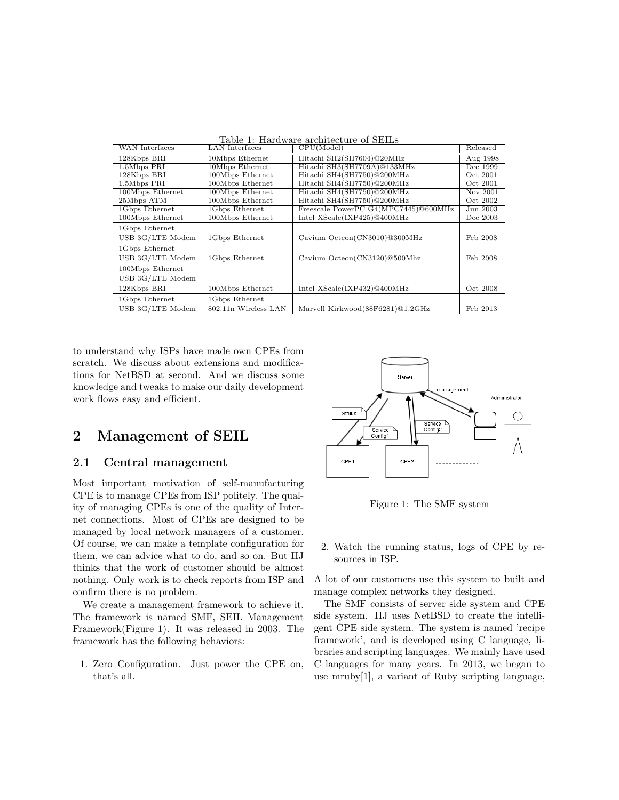|  | Table 1: Hardware architecture of SEILs |  |
|--|-----------------------------------------|--|
|  |                                         |  |

| <b>WAN</b> Interfaces | <b>LAN</b> Interfaces | CPU(Model)                           | Released |
|-----------------------|-----------------------|--------------------------------------|----------|
| 128Kbps BRI           | 10Mbps Ethernet       | Hitachi SH2(SH7604)@20MHz            | Aug 1998 |
| 1.5Mbps PRI           | 10Mbps Ethernet       | Hitachi SH3(SH7709A)@133MHz          | Dec 1999 |
| $128Kbps$ BRI         | 100Mbps Ethernet      | Hitachi SH4(SH7750)@200MHz           | Oct 2001 |
| 1.5Mbps PRI           | 100Mbps Ethernet      | Hitachi SH4(SH7750)@200MHz           | Oct 2001 |
| 100Mbps Ethernet      | 100Mbps Ethernet      | Hitachi SH4(SH7750)@200MHz           | Nov 2001 |
| 25Mbps ATM            | 100Mbps Ethernet      | Hitachi SH4(SH7750)@200MHz           | Oct 2002 |
| 1Gbps Ethernet        | 1Gbps Ethernet        | Freescale PowerPC G4(MPC7445)@600MHz | Jun 2003 |
| 100Mbps Ethernet      | 100Mbps Ethernet      | Intel $XScale(IXP425)@400MHz$        | Dec 2003 |
| 1Gbps Ethernet        |                       |                                      |          |
| USB 3G/LTE Modem      | 1Gbps Ethernet        | Cavium Octeon(CN3010)@300MHz         | Feb 2008 |
| 1Gbps Ethernet        |                       |                                      |          |
| USB 3G/LTE Modem      | 1Gbps Ethernet        | Cavium Octeon(CN3120)@500Mhz         | Feb 2008 |
| 100Mbps Ethernet      |                       |                                      |          |
| USB 3G/LTE Modem      |                       |                                      |          |
| 128Kbps BRI           | 100Mbps Ethernet      | Intel XScale(IXP432)@400MHz          | Oct 2008 |
| 1Gbps Ethernet        | 1Gbps Ethernet        |                                      |          |
| USB 3G/LTE Modem      | 802.11n Wireless LAN  | Marvell Kirkwood(88F6281)@1.2GHz     | Feb 2013 |

to understand why ISPs have made own CPEs from scratch. We discuss about extensions and modifications for NetBSD at second. And we discuss some knowledge and tweaks to make our daily development work flows easy and efficient.

### 2 Management of SEIL

#### 2.1 Central management

Most important motivation of self-manufacturing CPE is to manage CPEs from ISP politely. The quality of managing CPEs is one of the quality of Internet connections. Most of CPEs are designed to be managed by local network managers of a customer. Of course, we can make a template configuration for them, we can advice what to do, and so on. But IIJ thinks that the work of customer should be almost nothing. Only work is to check reports from ISP and confirm there is no problem.

We create a management framework to achieve it. The framework is named SMF, SEIL Management Framework(Figure 1). It was released in 2003. The framework has the following behaviors:

1. Zero Configuration. Just power the CPE on, that's all.



Figure 1: The SMF system

2. Watch the running status, logs of CPE by resources in ISP.

A lot of our customers use this system to built and manage complex networks they designed.

The SMF consists of server side system and CPE side system. IIJ uses NetBSD to create the intelligent CPE side system. The system is named 'recipe framework', and is developed using C language, libraries and scripting languages. We mainly have used C languages for many years. In 2013, we began to use mruby[1], a variant of Ruby scripting language,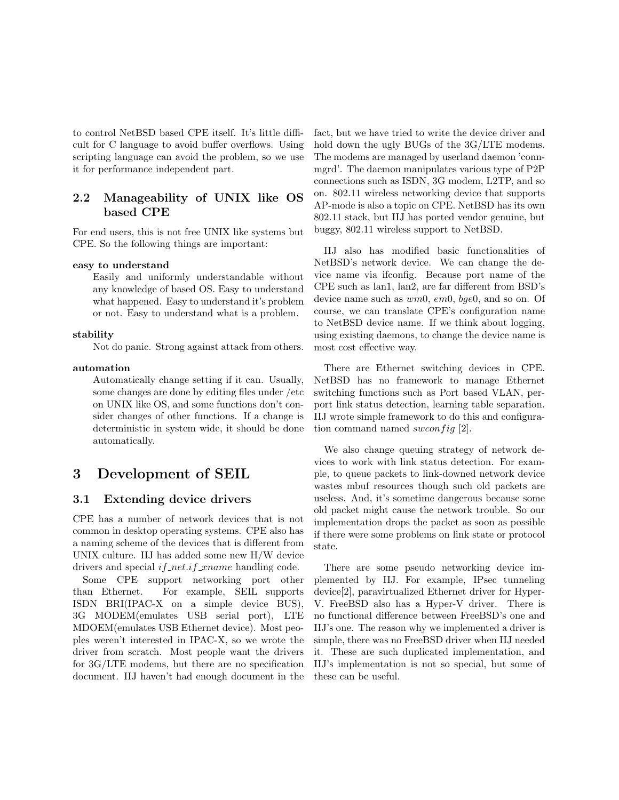to control NetBSD based CPE itself. It's little difficult for C language to avoid buffer overflows. Using scripting language can avoid the problem, so we use it for performance independent part.

#### 2.2 Manageability of UNIX like OS based CPE

For end users, this is not free UNIX like systems but CPE. So the following things are important:

#### easy to understand

Easily and uniformly understandable without any knowledge of based OS. Easy to understand what happened. Easy to understand it's problem or not. Easy to understand what is a problem.

#### stability

Not do panic. Strong against attack from others.

#### automation

Automatically change setting if it can. Usually, some changes are done by editing files under /etc on UNIX like OS, and some functions don't consider changes of other functions. If a change is deterministic in system wide, it should be done automatically.

# 3 Development of SEIL

#### 3.1 Extending device drivers

CPE has a number of network devices that is not common in desktop operating systems. CPE also has a naming scheme of the devices that is different from UNIX culture. IIJ has added some new H/W device drivers and special  $if_{\textit{net}}.if_{\textit{name}}$  handling code.

Some CPE support networking port other than Ethernet. For example, SEIL supports ISDN BRI(IPAC-X on a simple device BUS), 3G MODEM(emulates USB serial port), LTE MDOEM(emulates USB Ethernet device). Most peoples weren't interested in IPAC-X, so we wrote the driver from scratch. Most people want the drivers for 3G/LTE modems, but there are no specification document. IIJ haven't had enough document in the fact, but we have tried to write the device driver and hold down the ugly BUGs of the 3G/LTE modems. The modems are managed by userland daemon 'connmgrd'. The daemon manipulates various type of P2P connections such as ISDN, 3G modem, L2TP, and so on. 802.11 wireless networking device that supports AP-mode is also a topic on CPE. NetBSD has its own 802.11 stack, but IIJ has ported vendor genuine, but buggy, 802.11 wireless support to NetBSD.

IIJ also has modified basic functionalities of NetBSD's network device. We can change the device name via ifconfig. Because port name of the CPE such as lan1, lan2, are far different from BSD's device name such as  $wm0$ ,  $em0$ ,  $bqe0$ , and so on. Of course, we can translate CPE's configuration name to NetBSD device name. If we think about logging, using existing daemons, to change the device name is most cost effective way.

There are Ethernet switching devices in CPE. NetBSD has no framework to manage Ethernet switching functions such as Port based VLAN, perport link status detection, learning table separation. IIJ wrote simple framework to do this and configuration command named swconfig  $[2]$ .

We also change queuing strategy of network devices to work with link status detection. For example, to queue packets to link-downed network device wastes mbuf resources though such old packets are useless. And, it's sometime dangerous because some old packet might cause the network trouble. So our implementation drops the packet as soon as possible if there were some problems on link state or protocol state.

There are some pseudo networking device implemented by IIJ. For example, IPsec tunneling device[2], paravirtualized Ethernet driver for Hyper-V. FreeBSD also has a Hyper-V driver. There is no functional difference between FreeBSD's one and IIJ's one. The reason why we implemented a driver is simple, there was no FreeBSD driver when IIJ needed it. These are such duplicated implementation, and IIJ's implementation is not so special, but some of these can be useful.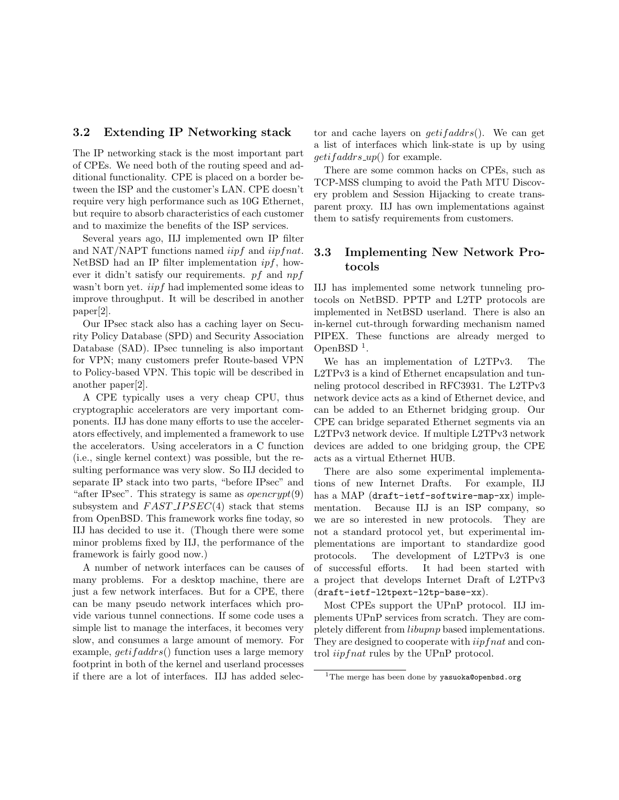#### 3.2 Extending IP Networking stack

The IP networking stack is the most important part of CPEs. We need both of the routing speed and additional functionality. CPE is placed on a border between the ISP and the customer's LAN. CPE doesn't require very high performance such as 10G Ethernet, but require to absorb characteristics of each customer and to maximize the benefits of the ISP services.

Several years ago, IIJ implemented own IP filter and NAT/NAPT functions named  $iipf$  and  $iipfnat$ . NetBSD had an IP filter implementation  $if$ , however it didn't satisfy our requirements. pf and  $npf$ wasn't born yet. *iipf* had implemented some ideas to improve throughput. It will be described in another paper[2].

Our IPsec stack also has a caching layer on Security Policy Database (SPD) and Security Association Database (SAD). IPsec tunneling is also important for VPN; many customers prefer Route-based VPN to Policy-based VPN. This topic will be described in another paper[2].

A CPE typically uses a very cheap CPU, thus cryptographic accelerators are very important components. IIJ has done many efforts to use the accelerators effectively, and implemented a framework to use the accelerators. Using accelerators in a C function (i.e., single kernel context) was possible, but the resulting performance was very slow. So IIJ decided to separate IP stack into two parts, "before IPsec" and "after IPsec". This strategy is same as  $operator{generypt}(9)$ subsystem and  $FAST_{IPSEC(4)}$  stack that stems from OpenBSD. This framework works fine today, so IIJ has decided to use it. (Though there were some minor problems fixed by IIJ, the performance of the framework is fairly good now.)

A number of network interfaces can be causes of many problems. For a desktop machine, there are just a few network interfaces. But for a CPE, there can be many pseudo network interfaces which provide various tunnel connections. If some code uses a simple list to manage the interfaces, it becomes very slow, and consumes a large amount of memory. For example,  $qetifaddress()$  function uses a large memory footprint in both of the kernel and userland processes if there are a lot of interfaces. IIJ has added selector and cache layers on  $getifaddress()$ . We can get a list of interfaces which link-state is up by using  $getifaddress_up()$  for example.

There are some common hacks on CPEs, such as TCP-MSS clumping to avoid the Path MTU Discovery problem and Session Hijacking to create transparent proxy. IIJ has own implementations against them to satisfy requirements from customers.

#### 3.3 Implementing New Network Protocols

IIJ has implemented some network tunneling protocols on NetBSD. PPTP and L2TP protocols are implemented in NetBSD userland. There is also an in-kernel cut-through forwarding mechanism named PIPEX. These functions are already merged to OpenBSD $<sup>1</sup>$ .</sup>

We has an implementation of L2TPv3. The L2TPv3 is a kind of Ethernet encapsulation and tunneling protocol described in RFC3931. The L2TPv3 network device acts as a kind of Ethernet device, and can be added to an Ethernet bridging group. Our CPE can bridge separated Ethernet segments via an L2TPv3 network device. If multiple L2TPv3 network devices are added to one bridging group, the CPE acts as a virtual Ethernet HUB.

There are also some experimental implementations of new Internet Drafts. For example, IIJ has a MAP (draft-ietf-softwire-map-xx) implementation. Because IIJ is an ISP company, so we are so interested in new protocols. They are not a standard protocol yet, but experimental implementations are important to standardize good protocols. The development of L2TPv3 is one of successful efforts. It had been started with a project that develops Internet Draft of L2TPv3 (draft-ietf-l2tpext-l2tp-base-xx).

Most CPEs support the UPnP protocol. IIJ implements UPnP services from scratch. They are completely different from libupnp based implementations. They are designed to cooperate with *iipfnat* and control iipfnat rules by the UPnP protocol.

 $1$ The merge has been done by yasuoka@openbsd.org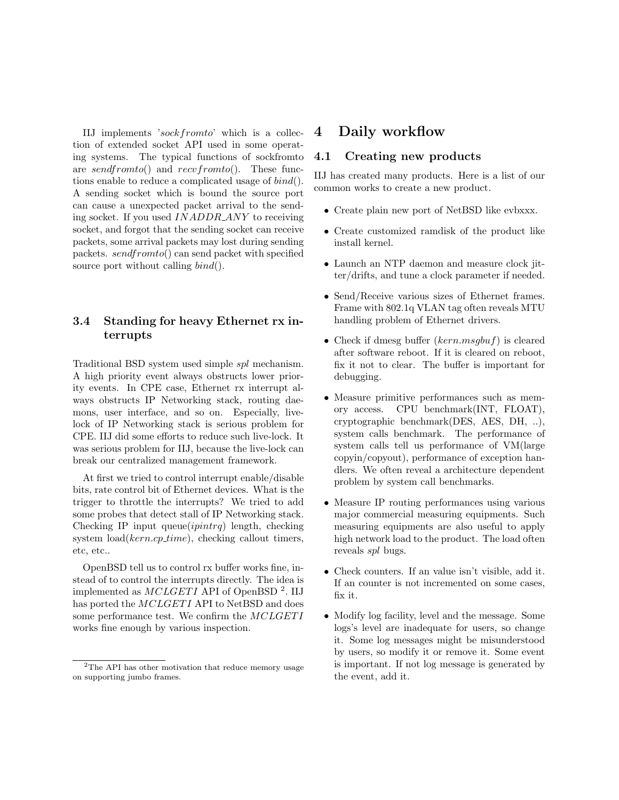IIJ implements 'sockfromto' which is a collection of extended socket API used in some operating systems. The typical functions of sockfromto are sendfromto() and recvfromto(). These functions enable to reduce a complicated usage of  $bind()$ . A sending socket which is bound the source port can cause a unexpected packet arrival to the sending socket. If you used INADDR ANY to receiving socket, and forgot that the sending socket can receive packets, some arrival packets may lost during sending packets. sendfromto() can send packet with specified source port without calling  $bind()$ .

### 3.4 Standing for heavy Ethernet rx interrupts

Traditional BSD system used simple spl mechanism. A high priority event always obstructs lower priority events. In CPE case, Ethernet rx interrupt always obstructs IP Networking stack, routing daemons, user interface, and so on. Especially, livelock of IP Networking stack is serious problem for CPE. IIJ did some efforts to reduce such live-lock. It was serious problem for IIJ, because the live-lock can break our centralized management framework.

At first we tried to control interrupt enable/disable bits, rate control bit of Ethernet devices. What is the trigger to throttle the interrupts? We tried to add some probes that detect stall of IP Networking stack. Checking IP input queue $(i$ *pintrq*) length, checking system  $load(kern.cp_time)$ , checking callout timers, etc, etc..

OpenBSD tell us to control rx buffer works fine, instead of to control the interrupts directly. The idea is implemented as  $MCLGETI$  API of OpenBSD<sup>2</sup>. IIJ has ported the MCLGETI API to NetBSD and does some performance test. We confirm the  $MCLGETI$ works fine enough by various inspection.

### 4 Daily workflow

#### 4.1 Creating new products

IIJ has created many products. Here is a list of our common works to create a new product.

- Create plain new port of NetBSD like evbxxx.
- Create customized ramdisk of the product like install kernel.
- Launch an NTP daemon and measure clock jitter/drifts, and tune a clock parameter if needed.
- Send/Receive various sizes of Ethernet frames. Frame with 802.1q VLAN tag often reveals MTU handling problem of Ethernet drivers.
- Check if dmesg buffer  $(kern.msgbuf)$  is cleared after software reboot. If it is cleared on reboot, fix it not to clear. The buffer is important for debugging.
- Measure primitive performances such as memory access. CPU benchmark(INT, FLOAT), cryptographic benchmark(DES, AES, DH, ..), system calls benchmark. The performance of system calls tell us performance of VM(large copyin/copyout), performance of exception handlers. We often reveal a architecture dependent problem by system call benchmarks.
- Measure IP routing performances using various major commercial measuring equipments. Such measuring equipments are also useful to apply high network load to the product. The load often reveals spl bugs.
- Check counters. If an value isn't visible, add it. If an counter is not incremented on some cases, fix it.
- Modify log facility, level and the message. Some logs's level are inadequate for users, so change it. Some log messages might be misunderstood by users, so modify it or remove it. Some event is important. If not log message is generated by the event, add it.

 $2$ The API has other motivation that reduce memory usage on supporting jumbo frames.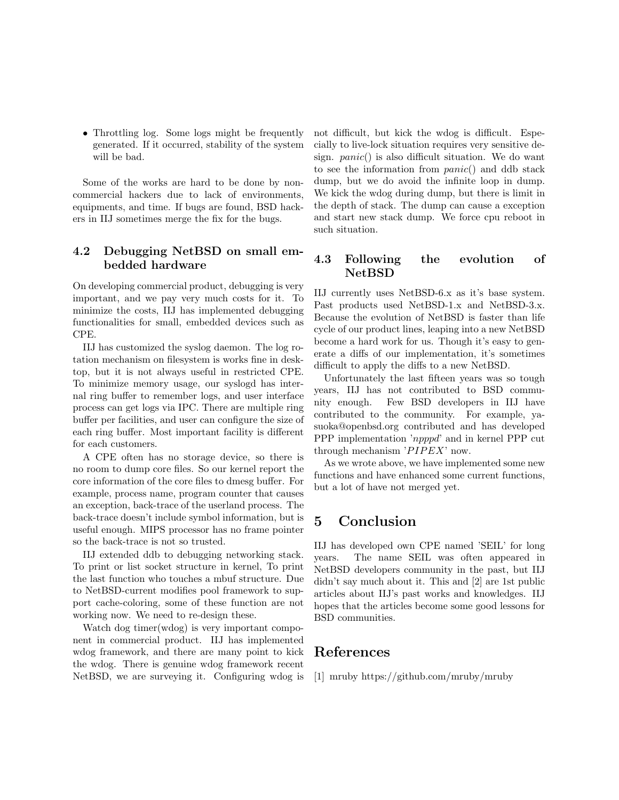• Throttling log. Some logs might be frequently generated. If it occurred, stability of the system will be bad.

Some of the works are hard to be done by noncommercial hackers due to lack of environments, equipments, and time. If bugs are found, BSD hackers in IIJ sometimes merge the fix for the bugs.

#### 4.2 Debugging NetBSD on small embedded hardware

On developing commercial product, debugging is very important, and we pay very much costs for it. To minimize the costs, IIJ has implemented debugging functionalities for small, embedded devices such as CPE.

IIJ has customized the syslog daemon. The log rotation mechanism on filesystem is works fine in desktop, but it is not always useful in restricted CPE. To minimize memory usage, our syslogd has internal ring buffer to remember logs, and user interface process can get logs via IPC. There are multiple ring buffer per facilities, and user can configure the size of each ring buffer. Most important facility is different for each customers.

A CPE often has no storage device, so there is no room to dump core files. So our kernel report the core information of the core files to dmesg buffer. For example, process name, program counter that causes an exception, back-trace of the userland process. The back-trace doesn't include symbol information, but is useful enough. MIPS processor has no frame pointer so the back-trace is not so trusted.

IIJ extended ddb to debugging networking stack. To print or list socket structure in kernel, To print the last function who touches a mbuf structure. Due to NetBSD-current modifies pool framework to support cache-coloring, some of these function are not working now. We need to re-design these.

Watch dog timer(wdog) is very important component in commercial product. IIJ has implemented wdog framework, and there are many point to kick the wdog. There is genuine wdog framework recent NetBSD, we are surveying it. Configuring wdog is not difficult, but kick the wdog is difficult. Especially to live-lock situation requires very sensitive design.  $panic()$  is also difficult situation. We do want to see the information from panic() and ddb stack dump, but we do avoid the infinite loop in dump. We kick the wdog during dump, but there is limit in the depth of stack. The dump can cause a exception and start new stack dump. We force cpu reboot in such situation.

### 4.3 Following the evolution of NetBSD

IIJ currently uses NetBSD-6.x as it's base system. Past products used NetBSD-1.x and NetBSD-3.x. Because the evolution of NetBSD is faster than life cycle of our product lines, leaping into a new NetBSD become a hard work for us. Though it's easy to generate a diffs of our implementation, it's sometimes difficult to apply the diffs to a new NetBSD.

Unfortunately the last fifteen years was so tough years, IIJ has not contributed to BSD community enough. Few BSD developers in IIJ have contributed to the community. For example, yasuoka@openbsd.org contributed and has developed PPP implementation 'npppd' and in kernel PPP cut through mechanism  $'PIPEX'$  now.

As we wrote above, we have implemented some new functions and have enhanced some current functions, but a lot of have not merged yet.

# 5 Conclusion

IIJ has developed own CPE named 'SEIL' for long years. The name SEIL was often appeared in NetBSD developers community in the past, but IIJ didn't say much about it. This and [2] are 1st public articles about IIJ's past works and knowledges. IIJ hopes that the articles become some good lessons for BSD communities.

## References

[1] mruby https://github.com/mruby/mruby